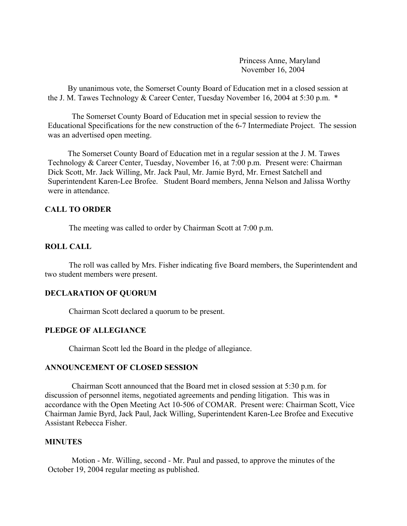Princess Anne, Maryland November 16, 2004

 By unanimous vote, the Somerset County Board of Education met in a closed session at the J. M. Tawes Technology & Career Center, Tuesday November 16, 2004 at 5:30 p.m. \*

 The Somerset County Board of Education met in special session to review the Educational Specifications for the new construction of the 6-7 Intermediate Project. The session was an advertised open meeting.

 The Somerset County Board of Education met in a regular session at the J. M. Tawes Technology & Career Center, Tuesday, November 16, at 7:00 p.m. Present were: Chairman Dick Scott, Mr. Jack Willing, Mr. Jack Paul, Mr. Jamie Byrd, Mr. Ernest Satchell and Superintendent Karen-Lee Brofee. Student Board members, Jenna Nelson and Jalissa Worthy were in attendance.

## **CALL TO ORDER**

The meeting was called to order by Chairman Scott at 7:00 p.m.

## **ROLL CALL**

The roll was called by Mrs. Fisher indicating five Board members, the Superintendent and two student members were present.

## **DECLARATION OF QUORUM**

Chairman Scott declared a quorum to be present.

# **PLEDGE OF ALLEGIANCE**

Chairman Scott led the Board in the pledge of allegiance.

### **ANNOUNCEMENT OF CLOSED SESSION**

 Chairman Scott announced that the Board met in closed session at 5:30 p.m. for discussion of personnel items, negotiated agreements and pending litigation. This was in accordance with the Open Meeting Act 10-506 of COMAR. Present were: Chairman Scott, Vice Chairman Jamie Byrd, Jack Paul, Jack Willing, Superintendent Karen-Lee Brofee and Executive Assistant Rebecca Fisher.

### **MINUTES**

Motion - Mr. Willing, second - Mr. Paul and passed, to approve the minutes of the October 19, 2004 regular meeting as published.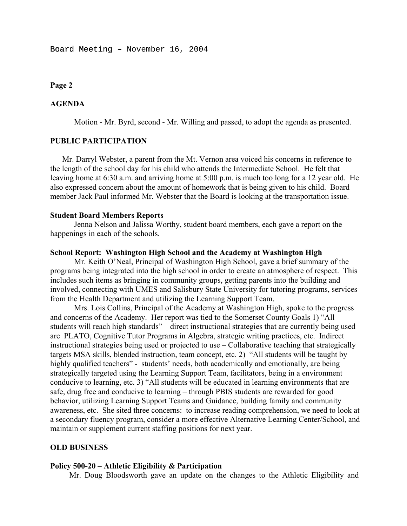### **Page 2**

### **AGENDA**

Motion - Mr. Byrd, second - Mr. Willing and passed, to adopt the agenda as presented.

### **PUBLIC PARTICIPATION**

Mr. Darryl Webster, a parent from the Mt. Vernon area voiced his concerns in reference to the length of the school day for his child who attends the Intermediate School. He felt that leaving home at 6:30 a.m. and arriving home at 5:00 p.m. is much too long for a 12 year old. He also expressed concern about the amount of homework that is being given to his child. Board member Jack Paul informed Mr. Webster that the Board is looking at the transportation issue.

### **Student Board Members Reports**

 Jenna Nelson and Jalissa Worthy, student board members, each gave a report on the happenings in each of the schools.

### **School Report: Washington High School and the Academy at Washington High**

 Mr. Keith O'Neal, Principal of Washington High School, gave a brief summary of the programs being integrated into the high school in order to create an atmosphere of respect. This includes such items as bringing in community groups, getting parents into the building and involved, connecting with UMES and Salisbury State University for tutoring programs, services from the Health Department and utilizing the Learning Support Team.

 Mrs. Lois Collins, Principal of the Academy at Washington High, spoke to the progress and concerns of the Academy. Her report was tied to the Somerset County Goals 1) "All students will reach high standards" – direct instructional strategies that are currently being used are PLATO, Cognitive Tutor Programs in Algebra, strategic writing practices, etc. Indirect instructional strategies being used or projected to use – Collaborative teaching that strategically targets MSA skills, blended instruction, team concept, etc. 2) "All students will be taught by highly qualified teachers" - students' needs, both academically and emotionally, are being strategically targeted using the Learning Support Team, facilitators, being in a environment conducive to learning, etc. 3) "All students will be educated in learning environments that are safe, drug free and conducive to learning – through PBIS students are rewarded for good behavior, utilizing Learning Support Teams and Guidance, building family and community awareness, etc. She sited three concerns: to increase reading comprehension, we need to look at a secondary fluency program, consider a more effective Alternative Learning Center/School, and maintain or supplement current staffing positions for next year.

### **OLD BUSINESS**

### **Policy 500-20 – Athletic Eligibility & Participation**

Mr. Doug Bloodsworth gave an update on the changes to the Athletic Eligibility and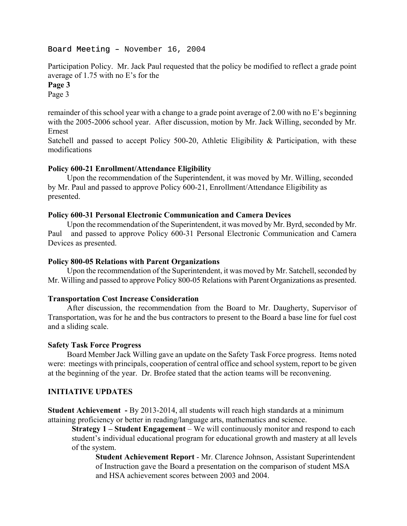Participation Policy. Mr. Jack Paul requested that the policy be modified to reflect a grade point average of 1.75 with no E's for the **Page 3** 

Page 3

remainder of this school year with a change to a grade point average of 2.00 with no E's beginning with the 2005-2006 school year. After discussion, motion by Mr. Jack Willing, seconded by Mr. Ernest

Satchell and passed to accept Policy 500-20, Athletic Eligibility & Participation, with these modifications

### **Policy 600-21 Enrollment/Attendance Eligibility**

 Upon the recommendation of the Superintendent, it was moved by Mr. Willing, seconded by Mr. Paul and passed to approve Policy 600-21, Enrollment/Attendance Eligibility as presented.

### **Policy 600-31 Personal Electronic Communication and Camera Devices**

Upon the recommendation of the Superintendent, it was moved by Mr. Byrd, seconded by Mr. Paul and passed to approve Policy 600-31 Personal Electronic Communication and Camera Devices as presented.

#### **Policy 800-05 Relations with Parent Organizations**

Upon the recommendation of the Superintendent, it was moved by Mr. Satchell, seconded by Mr. Willing and passed to approve Policy 800-05 Relations with Parent Organizations as presented.

### **Transportation Cost Increase Consideration**

After discussion, the recommendation from the Board to Mr. Daugherty, Supervisor of Transportation, was for he and the bus contractors to present to the Board a base line for fuel cost and a sliding scale.

#### **Safety Task Force Progress**

Board Member Jack Willing gave an update on the Safety Task Force progress. Items noted were: meetings with principals, cooperation of central office and school system, report to be given at the beginning of the year. Dr. Brofee stated that the action teams will be reconvening.

## **INITIATIVE UPDATES**

**Student Achievement -** By 2013-2014, all students will reach high standards at a minimum attaining proficiency or better in reading/language arts, mathematics and science.

**Strategy 1 – Student Engagement** – We will continuously monitor and respond to each student's individual educational program for educational growth and mastery at all levels of the system.

**Student Achievement Report** - Mr. Clarence Johnson, Assistant Superintendent of Instruction gave the Board a presentation on the comparison of student MSA and HSA achievement scores between 2003 and 2004.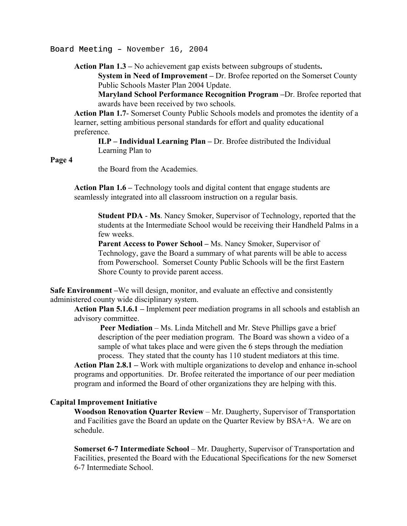**Action Plan 1.3 –** No achievement gap exists between subgroups of students**.** 

**System in Need of Improvement –** Dr. Brofee reported on the Somerset County Public Schools Master Plan 2004 Update.

**Maryland School Performance Recognition Program –**Dr. Brofee reported that awards have been received by two schools.

**Action Plan 1.7**- Somerset County Public Schools models and promotes the identity of a learner, setting ambitious personal standards for effort and quality educational preference.

## **ILP – Individual Learning Plan –** Dr. Brofee distributed the Individual Learning Plan to

### **Page 4**

the Board from the Academies.

**Action Plan 1.6 –** Technology tools and digital content that engage students are seamlessly integrated into all classroom instruction on a regular basis.

**Student PDA** - **Ms**. Nancy Smoker, Supervisor of Technology, reported that the students at the Intermediate School would be receiving their Handheld Palms in a few weeks.

**Parent Access to Power School –** Ms. Nancy Smoker, Supervisor of Technology, gave the Board a summary of what parents will be able to access from Powerschool. Somerset County Public Schools will be the first Eastern Shore County to provide parent access.

**Safe Environment** – We will design, monitor, and evaluate an effective and consistently administered county wide disciplinary system.

**Action Plan 5.1.6.1 –** Implement peer mediation programs in all schools and establish an advisory committee.

**Peer Mediation** – Ms. Linda Mitchell and Mr. Steve Phillips gave a brief description of the peer mediation program. The Board was shown a video of a sample of what takes place and were given the 6 steps through the mediation process. They stated that the county has 110 student mediators at this time.

**Action Plan 2.8.1 –** Work with multiple organizations to develop and enhance in-school programs and opportunities. Dr. Brofee reiterated the importance of our peer mediation program and informed the Board of other organizations they are helping with this.

## **Capital Improvement Initiative**

**Woodson Renovation Quarter Review** – Mr. Daugherty, Supervisor of Transportation and Facilities gave the Board an update on the Quarter Review by BSA+A. We are on schedule.

**Somerset 6-7 Intermediate School** – Mr. Daugherty, Supervisor of Transportation and Facilities, presented the Board with the Educational Specifications for the new Somerset 6-7 Intermediate School.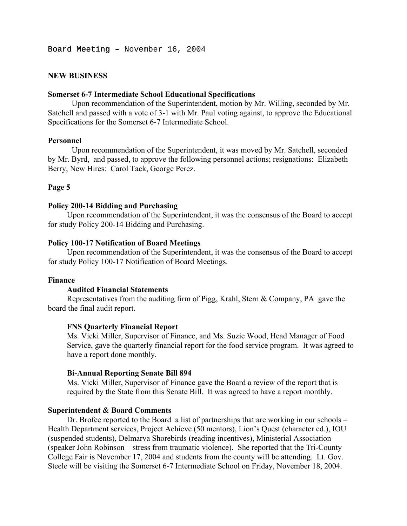### **NEW BUSINESS**

### **Somerset 6-7 Intermediate School Educational Specifications**

Upon recommendation of the Superintendent, motion by Mr. Willing, seconded by Mr. Satchell and passed with a vote of 3-1 with Mr. Paul voting against, to approve the Educational Specifications for the Somerset 6-7 Intermediate School.

#### **Personnel**

Upon recommendation of the Superintendent, it was moved by Mr. Satchell, seconded by Mr. Byrd, and passed, to approve the following personnel actions; resignations: Elizabeth Berry, New Hires: Carol Tack, George Perez.

### **Page 5**

### **Policy 200-14 Bidding and Purchasing**

Upon recommendation of the Superintendent, it was the consensus of the Board to accept for study Policy 200-14 Bidding and Purchasing.

#### **Policy 100-17 Notification of Board Meetings**

Upon recommendation of the Superintendent, it was the consensus of the Board to accept for study Policy 100-17 Notification of Board Meetings.

#### **Finance**

#### **Audited Financial Statements**

Representatives from the auditing firm of Pigg, Krahl, Stern & Company, PA gave the board the final audit report.

### **FNS Quarterly Financial Report**

Ms. Vicki Miller, Supervisor of Finance, and Ms. Suzie Wood, Head Manager of Food Service, gave the quarterly financial report for the food service program. It was agreed to have a report done monthly.

#### **Bi-Annual Reporting Senate Bill 894**

Ms. Vicki Miller, Supervisor of Finance gave the Board a review of the report that is required by the State from this Senate Bill. It was agreed to have a report monthly.

## **Superintendent & Board Comments**

 Dr. Brofee reported to the Board a list of partnerships that are working in our schools – Health Department services, Project Achieve (50 mentors), Lion's Quest (character ed.), IOU (suspended students), Delmarva Shorebirds (reading incentives), Ministerial Association (speaker John Robinson – stress from traumatic violence). She reported that the Tri-County College Fair is November 17, 2004 and students from the county will be attending. Lt. Gov. Steele will be visiting the Somerset 6-7 Intermediate School on Friday, November 18, 2004.